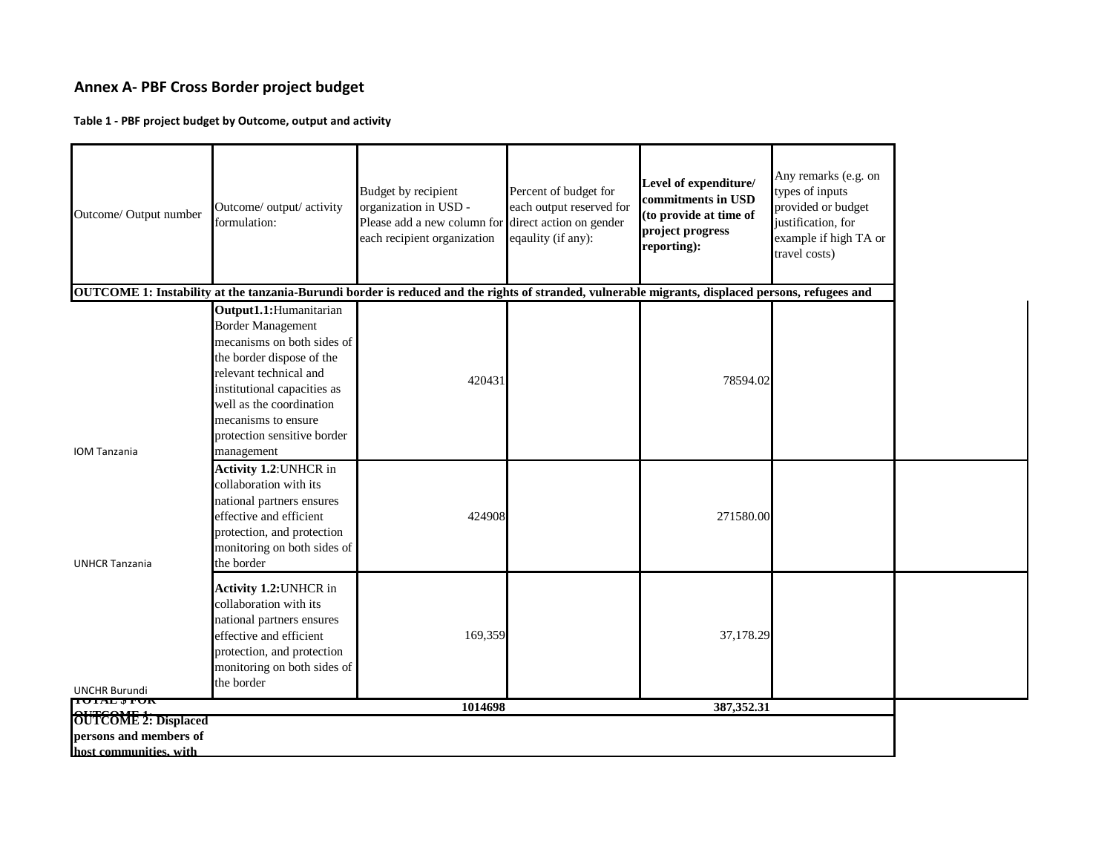## **Annex A- PBF Cross Border project budget**

**Table 1 - PBF project budget by Outcome, output and activity**

| Outcome/ Output number                                                          | Outcome/ output/ activity<br>formulation:                                                                                                                                                                                                                               | Budget by recipient<br>organization in USD -<br>Please add a new column for direct action on gender<br>each recipient organization                | Percent of budget for<br>each output reserved for<br>eqaulity (if any): | Level of expenditure/<br>commitments in USD<br>(to provide at time of<br>project progress<br>reporting): | Any remarks (e.g. on<br>types of inputs<br>provided or budget<br>justification, for<br>example if high TA or<br>travel costs) |  |
|---------------------------------------------------------------------------------|-------------------------------------------------------------------------------------------------------------------------------------------------------------------------------------------------------------------------------------------------------------------------|---------------------------------------------------------------------------------------------------------------------------------------------------|-------------------------------------------------------------------------|----------------------------------------------------------------------------------------------------------|-------------------------------------------------------------------------------------------------------------------------------|--|
|                                                                                 |                                                                                                                                                                                                                                                                         | OUTCOME 1: Instability at the tanzania-Burundi border is reduced and the rights of stranded, vulnerable migrants, displaced persons, refugees and |                                                                         |                                                                                                          |                                                                                                                               |  |
| <b>IOM Tanzania</b>                                                             | Output1.1: Humanitarian<br><b>Border Management</b><br>mecanisms on both sides of<br>the border dispose of the<br>relevant technical and<br>institutional capacities as<br>well as the coordination<br>mecanisms to ensure<br>protection sensitive border<br>management | 420431                                                                                                                                            |                                                                         | 78594.02                                                                                                 |                                                                                                                               |  |
| <b>UNHCR Tanzania</b>                                                           | Activity 1.2: UNHCR in<br>collaboration with its<br>national partners ensures<br>effective and efficient<br>protection, and protection<br>monitoring on both sides of<br>the border                                                                                     | 424908                                                                                                                                            |                                                                         | 271580.00                                                                                                |                                                                                                                               |  |
| <b>UNCHR Burundi</b>                                                            | Activity 1.2: UNHCR in<br>collaboration with its<br>national partners ensures<br>effective and efficient<br>protection, and protection<br>monitoring on both sides of<br>the border                                                                                     | 169,359                                                                                                                                           |                                                                         | 37,178.29                                                                                                |                                                                                                                               |  |
| TUTAL DIUN<br><b>ITICALE</b>                                                    |                                                                                                                                                                                                                                                                         | 1014698                                                                                                                                           |                                                                         | 387, 352.31                                                                                              |                                                                                                                               |  |
| <b>OUTCOME 2: Displaced</b><br>persons and members of<br>host communities, with |                                                                                                                                                                                                                                                                         |                                                                                                                                                   |                                                                         |                                                                                                          |                                                                                                                               |  |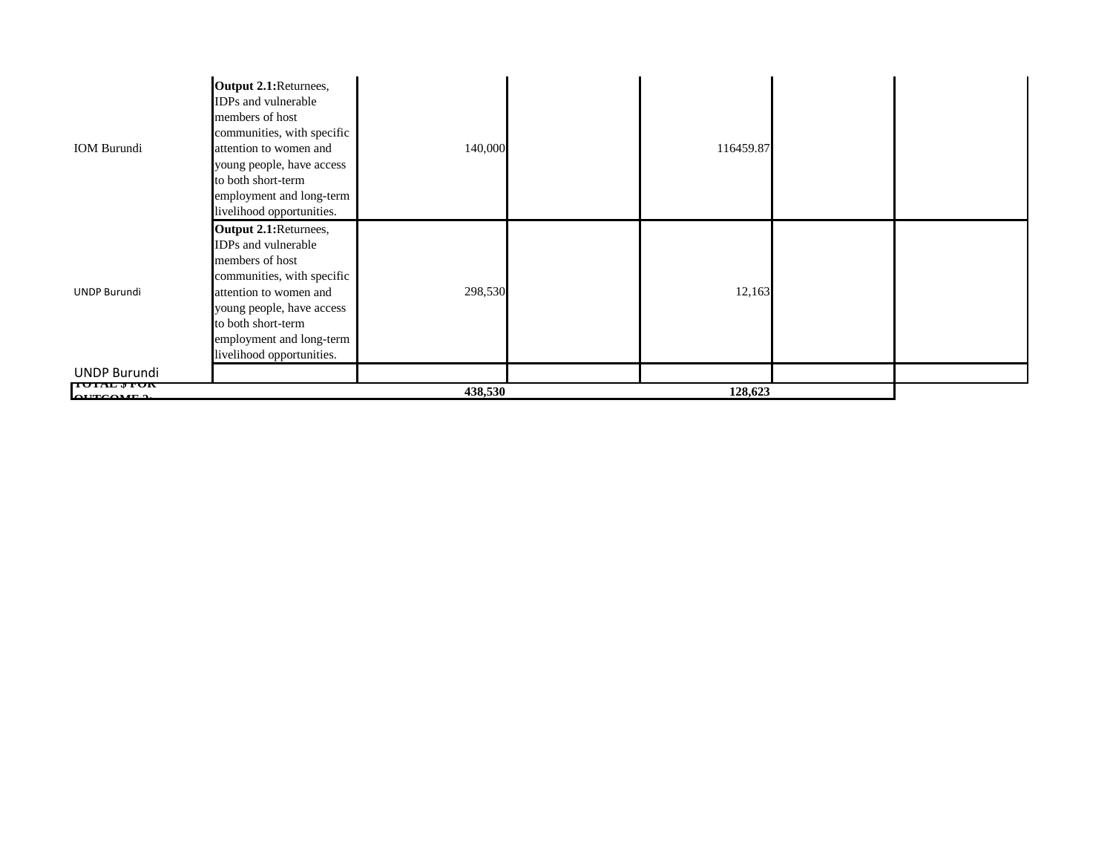| <b>IOM</b> Burundi            | <b>Output 2.1: Returnees,</b><br>IDPs and vulnerable<br>members of host<br>communities, with specific<br>attention to women and<br>young people, have access<br>to both short-term<br>employment and long-term<br>livelihood opportunities. | 140,000 | 116459.87 |  |
|-------------------------------|---------------------------------------------------------------------------------------------------------------------------------------------------------------------------------------------------------------------------------------------|---------|-----------|--|
| <b>UNDP Burundi</b>           | Output 2.1: Returnees,<br>IDPs and vulnerable<br>members of host<br>communities, with specific<br>attention to women and<br>young people, have access<br>to both short-term<br>employment and long-term<br>livelihood opportunities.        | 298,530 | 12,163    |  |
| <b>UNDP Burundi</b>           |                                                                                                                                                                                                                                             |         |           |  |
| <b>IUIAL IUN</b><br>ATHACOMEA |                                                                                                                                                                                                                                             | 438,530 | 128,623   |  |